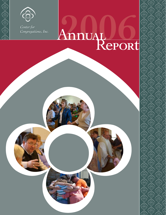

මාලාලාලාල

*Congregations, Inc. Congregations, Inc.Center for*

# **2006** *Center for*

ලි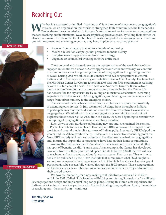## Reaching Out

hether it is expressed or implied, "reaching out" is at the core of almost every congregation's mission. As an organization that works to strengthen faith communities, the Indianapolis Center shares the same mission. In this year's annual report we focus on four congregations that are reaching out in intentional ways to accomplish aggressive goals. By telling their stories we also tell our own. The role of the Center has been to walk alongside these congregations—reaching out with resources and encouragement—as they have implemented creative plans to:

Shaarey Tefilla

මා ගා ගා ගා ග





Northminster Presbyterian

@\@\@@\@@@

- Recover from a tragedy that led to a decade of mourning •
- Mount a relocation campaign that promises to make history •
- Energize teens to appreciate ancient church liturgy •
- Organize an ecumenical event open to the entire state •

 These colorful and dramatic stories are representative of the work that we have engaged in for almost a decade. As we approach our tenth anniversary, we continue to extend our services to a growing number of congregations in a growing number of ways. During 2006 we tallied 5,118 contacts with 522 congregations in central Indiana and in the region served by our satellite office in Allen County. The launch of the Northeast Center for Congregations in 2005 was our first experiment in reaching beyond our Indianapolis base. In the past year Northeast Director Brian Witwer has made significant inroads in the seven-county area encircling the Center. He has boosted the facility's visibility by calling on ministerial associations, becoming acquainted with the area's 1,000 congregations, and hosting seminars on topics that range from urban ministry to the emerging church.

 The success of the Northeast Center has prompted us to explore the possibility of extending our services. In July we invited 15 clergy from throughout Indiana to participate in a roundtable discussion about the resource networks available to congregations. We asked participants to suggest ways we might expand but not duplicate those networks. As 2006 drew to a close, we were beginning to consult with a sampling of congregations in several southern counties.

 Even as we sought guidance on breaking new ground, we retained the services of Pacific Institute for Research and Evaluation (PIRE) to measure the impact of our work in and around the familiar territory of Indianapolis. Previously, PIRE helped the Center and the Alban Institute better understand our respective consulting practices. Now, PIRE's study will help us understand the effect we have had on congregations and, in turn, the impact the congregations have had on their home communities.

 Among the discoveries that we've already made about our work is that it often has spin-off benefits we didn't anticipate. As an example, the Center has developed two tools from our three-year Sacred Space Grants Initiative (SSGI) that we will use to reach out and assist congregations for years to come. First, our staff has written a book to be published by the Alban Institute that summarizes what SSGI taught us; second, we've upgraded and repackaged a DVD that tells the stories of several grant participants who successfully walked through the SSGI process. Those congregations will serve as models for other congregations about to embark on projects to improve their sacred spaces.

 We now are preparing for a new major grant initiative, announced in 2006 to unfold in 2007. Called "Life Together—Thinking and Acting Strategically," it will help 30 congregations design and implement long-range plans. During this three-year experience the Indianapolis Center will walk as partners with the participating congregations. Again, the ministry of reaching out—theirs and ours—continues.

Timothy Shapiro President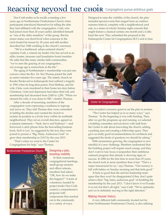## ReacHing Beyond the CHOIR Congregations pursue ambitious goals

Don Craft smiles as he recalls a meeting a few years ago at Northminster Presbyterian Church when participants introduced themselves by telling the date they had affiliated with the congregation. Craft, who had joined more than 20 years earlier, identified himself as "one of the older members" of the group. But his senior status was short-lived when someone in the circle bested his tenure by 30 years and still another described her 1948 wedding in the church's sanctuary.

"We're a traditional, urban-centered church," explains Craft, a veteran lay leader who has served as an elder, trustee, treasurer and foundation board member. He adds that like many similar faith communities, "we've seen the graying of our congregation… our average age is somewhere in the 60s."

The aging of Northminster's membership was just one concern when the Rev. Dr. Teri Thomas joined the staff as senior minister five years ago. The stately church on Kessler Boulevard in Indianapolis had suffered a tragedy in 1996 when its long-time pastor, Fred Mathias, and his wife, Cleta, were murdered in their home ten days before Christmas. Grief and depression had taken their toll, and membership had decreased from 2,000 to 1,200. "When we cleaned the rolls, it was closer to 900," clarifies Thomas.

After a decade of mourning, members of the congregation were expressing a readiness to regroup and move on. They told Thomas they were committed to halting the decline and wanted the church to reclaim its position as a lively force within its northside neighborhood. They set an overall direction, agreed on a mission statement—"Seek, Serve and Embrace"—and borrowed a catch phrase from the best-selling business book, *Built to Last*. As suggested by the text, they were poised to pursue a "Big, Hairy, Audacious Goal:" to grow their membership to 2,013 by the year 2013.

"That's when we went to the Center for Congregations for help," says Thomas.



#### Designing a plan, boosting visibility

In their numerous congregational meetings, small group sessions and officer retreats, members had asked, "OK, how do we make this happen?" A team of volunteers, headed by project leader Don Craft, created a comprehensive proposal with components that reached out to the community in a variety of ways.

Designed to raise the visibility of the church, the plan included special events that ranged from an outdoor summer festival, complete with a neighborhood yard sale, to a series of eclectic Sunday night concerts that might feature a classical cantata one month and a Celtic band the next. They submitted the proposal to the Indianapolis Center for Congregations (ICC) and in June



Center for Congregations

were awarded a resource grant to set the plan in motion.

"The Center has helped us in so many ways," says Thomas. "In the beginning it was with funding. Then, after we got the programs up and running, we selected a building committee and sat down with staff from the Center to talk about renovating the church, adding a parking area and creating a fellowship space. They gave us really good recommendations for architects and suggested the kinds of questions we should be asking."

With momentum growing, the congregation is now mindful of a new challenge. Members understand that the building project will require much energy, and they don't want to lose focus or jeopardize their ambitious outreach program that already is showing signs of success. In 2006 for the first time in more than 25 years, the church took in more members than it lost. "That's a major turnaround for us," says Thomas. "Our nursery is full with babies on Sunday morning and that feels good."

It feels so good that she and her leadership team agree that they won't be disappointed if they don't quite achieve their "big, hairy, audacious goal" of doubling the membership by the year 2013. "I don't know if we'll make it or not, but that's all right," says Craft. "We're optimistic, and we're definitely moving in the right direction."

#### Making Hoosier history

A very different faith community, located not far from Northminster Presbyterian Church, is also utilizing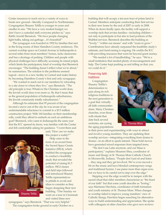Center resources to reach out in a variety of ways to break new ground—literally. Compared to Northminster, Congregation Shaarey Tefilla is younger in years and smaller in size. "We have a very modest budget; we don't have a custodial staff; everyone pitches in," says Rabbi Arnold Bienstock. "We have people changing light bulbs, taking out garbage...it's beautiful!"

The synagogue was founded in 1992 by families that met in the living rooms of their Hamilton County residences. The current worship space on Central Avenue in Indianapolis is several miles from most members' homes, lacks classrooms and has a shortage of parking. Children and people with physical challenges have difficulty accessing its raised pulpit, which limits the participatory kind of worship that Bienstock encourages. "The building doesn't reflect what we're about," he summarizes. The solution to the problems seemed logical—move to a new facility in Carmel and make history by becoming Hamilton County's first and only synagogue.

"We wanted to reach out to our members by relocating to a site closer to where they live," says Bienstock. "The old principle is true: Whatever the Christian world does, the Jewish world does even more so. By that I mean that as the general population of Indianapolis suburbanizes, the Jewish community totally suburbanizes."

Although he estimates that 95 percent of the congregation favored a move out of the city, he was aware of an understandable reluctance to commit to a \$3.5 million construction project. With 160 families on their membership rolls, could they afford to embark on such an ambitious goal? Bienstock, who came to Indianapolis the same year that the ICC opened its doors, was familiar with the Center and felt comfortable asking for guidance. "I went there and



said, 'How can we make this project a reality?'"

Help came in the form of an award from the Sacred Space Grants Initiative (SSGI), which enabled the synagogue to conduct a feasibility study that revealed the potential of raising \$1.5 million. SSGI classes and field trips followed and introduced Shaarey Tefilla representatives to pitfalls to avoid and ideas to consider as they began designing their new building. "One Sunday we went on a tour in Cincinnati and visited three new

synagogues," says Bienstock. "That was very helpful." The congregation broke ground in early October on a building that will occupy a ten-acre tract of prime land in Carmel. Members anticipate conducting their first service in their new home by the end of 2007 or early in 2008. When its doors finally open, the facility will support a worship style that invites families—including children not only to participate in but also to lead portions of the Shabbat services. Bienstock describes the building as "lovely," "within our means" and with "room to grow." Contributions have already surpassed the feasibility study's estimate, and fund-raising is ongoing. He credits the ICC with providing resources that went far beyond grant money.

"We needed a lot of handholding," he says. "We're a small institution that needed plenty of encouragement and help. The Center kept pushing us and telling us that, yes, we could do it."

#### Preserving faith traditions

Congregation Shaarey Tefilla's determination to pass along its rich religious traditions to the next generation is a goal that virtually all faith communities share. Many Christian churches, even those with rituals that date back several centuries, are eyeing the aging populations



St. Thomas More

in their pews and experimenting with ways to attract and involve young members. They are updating their worship services—integrating everything from drama to drums—in an effort to spark interest. These bold moves have generated mixed responses from targeted teens.

"We don't use Latin anymore, and our Mass is participatory," explains Maureen Shea, coordinator of music and liturgy at St. Thomas More Catholic Church in Mooresville, Indiana. "People don't just sit and listen …they sing and they get involved. We've even moved a bit on the music and have blended contemporary songs and traditional hymns. I use piano more than organ now, but we have to be careful not to step over the edge."

Stepping over the edge would be to tamper with the sacred ritual that older members characterize as "the heart of our faith" but that some youth describe as "boring," says Marianne Hawkins, coordinator of faith formation and youth ministry at St. Thomas More. When changes in worship failed to improve young members' view of Catholic liturgy, Hawkins began searching for alternative ways to build understanding and appreciation. She spoke with colleagues at other churches who gave rave reviews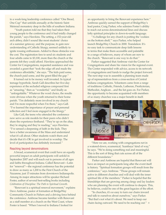to a week-long leadership conference called "One Bread, One Cup" that unfolds annually at the historic Saint Meinrad monastery deep in the hills of southern Indiana.

"Youth pastors told me that they had taken their young people to the conference and it had totally changed the parish," says Hawkins. The setting, a 152-year-old arch abbey, didn't sound like most students' choice of a summer getaway; and the purpose, to gain new understanding of Catholic liturgy, seemed unlikely to ignite rousing enthusiasm. Added to these obstacles was the cost. The registration fees to send six students and four adults came to \$3,100, more than the church or the parents felt they could afford. Hawkins approached the Center for Congregations, requested assistance and was awarded a grant that "took the edge off and made the conference affordable," she says. "The kids paid some, the church paid some, and the grant filled the gap."

It turned out to be money well invested. In typical teenage hyperbole, Sarah Gall describes her five-day experience at the secluded religious compound first as "amazing," then as "wonderful," and finally as "unforgettable." Whatever the word choice, the results were obvious when the youth returned to their home parish. "I'm definitely more involved in my church and I'm more respectful when I'm there," says Gall. "I've learned the importance of prayer and personal reflection and I feel more engaged in the liturgy."

Like Gall, the teens who attended the conference now serve as role models for their peers who didn't share the experience firsthand. "They're up on the altar, they're singing and they're reading," says Hawkins. "I've sensed a deepening of faith in the kids. They have a better awareness of the Mass and understand what it's all about. Other students watch them and decide that it's OK to get involved in worship. The level of participation has definitely increased."

#### Reaching beyond denominations

A broad, ecumenical event that could have an equally powerful impact on adult participants will unfold in September 2007 and will reach out to persons of all ages and faiths throughout Indiana. Called Renovaré—Latin for "renewal"—the regional conference has the potential to draw as many as 1,200 to the First Church of the Nazarene, just 15 minutes from downtown Indianapolis. Among its major attractions will be speaker Richard Foster, author of several best-selling books including *Celebration of Discipline: The Path to Spiritual Growth*.

"Renovaré is a spiritual renewal movement," explains Dave Ambrose, pastor of formation at BridgeWay Community Church in Fishers and a driving force behind the conference. Ambrose became familiar with Renovaré as a staff member at a church on the West Coast, where Foster is based. "When I moved to Indiana I looked for

an opportunity to bring the Renovaré experience here." Ambrose quickly earned the support of BridgeWay's lead pastor, Craig Parker, who admires Foster's ability to reach out across denominational lines and discuss lofty spiritual principles in down-to-earth language.

"A challenge for any church is putting the 'cookies on the bottom shelf,'" says Parker, who helped launch BridgeWay Church in 2000. Translation: It's no easy task to communicate deep faith lessons in terms that make them accessible and palatable to a range of believers, many of whom are new to the church. "Renovaré is one way to do that."

Parker suggested that Ambrose visit the Center for Congregations and share his vision for the regional event. The Center responded with advice, access to its network of congregations and funds to nudge the project forward. The next step was to assemble a planning team made up of representatives from a cross-section of Central Indiana congregations. Volunteers came from a range of traditions: Catholic, Friends, Lutheran, Presbyterian, Methodist, Anglican…and the list goes on. For Parker, the opportunity to become acquainted with members of so many churches was a major benefit in itself.



"Here we are, working with congregations not in a watered-down, ecumenical, 'kumbaya' kind of way," he says. "We're doing something real and meaningful. This is the sort of thing that cuts across all of the different boundaries."

Parker and Ambrose are hopeful that Renovaré will have an impact on participants long after the event itself is history. "Spiritual formation groups will result from the conference," says Ambrose. "Those groups will remain active in different churches and will deal with the inner spiritual life of the members." Parker is hopeful that the friendships that are growing among clergy and lay leaders who are planning the event will continue to deepen. This, he believes, could be one of the great legacies of the effort.

"In churches, it's so easy to turn our chairs inward and talk to ourselves about ourselves," says Parker. "But that's not what it's about. We need to keep our chairs facing outward. We need to be reaching out."  $\circ$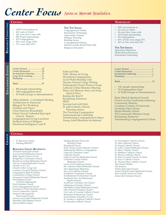# Center Focu<sub>d</sub> Annual Report Statistics

#### 4,989 Conversations in 663 cases of which 281 were New Cases with 850 People representing 475 Congregations 60% were clergy (518) 31% were laity (331) • • • • • • • Center Hosted............................22 Center Sponsored......................18 Invitational Gathering ..............23 Long Term Learning .................11 Workshop ...................................13 *Total*............................................87 • 883 people representing 368 congregations from • 65 Faith Groups or denominations Alban Institute - Consultants Meeting Architecture to Transcend Bilingual Tax Workshop Children and Prayer Choir Directors Roundtable • Faith and Film Faith, Money, & Giving Flourshing Congregations Good Words Reading Club Hoosier Pastoral Clergy Writing Indianapolis Church Finance Group Lutheran Urban Ministers Meeting Music and Memoir, Story and Song -- Spirit & Place Raising the Roof II Reclaiming Testimony **SEED** Serving God with Style St. John Catholic Church - Planning session The Practicing Congregation **The Top Issues** Congregational Vitality Information Technology Appreciative Inquiry Strategic Planning Building Issues Congregational Finance Internet and the World Wide Web Religious Education 258 Conversations in 82 Cases of which 34 were New Cases with 123 People representing 95 Congregations 63% of who were clergy (77) 36% of who were laity (45) **The Top Issues** Specialized Ministries Multicultural Resources Information Technology • • • • • • • Center Hosted...........................................1 Center Sponsored.....................................1 Invitational Gathering .............................1 Workshop ..................................................7 *Total*...........................................................10 • 132 people representing 74 Congregations from • 31 Faith Groups or Denominations Body, Mind & Spiritual Growth Church on Fire Leadership Gathering Community Ministry Creating a Culture of Generosity Northeast Open House Media Ministry School • **Central Northeast**

 Church - Retreat

Emotional Intelligence I and II

Transforming Congregational Culture

#### **Central**

**Gran**

- 61 Resource Grants •
- Totaling \$585,875 •

#### **Resource Grant Recipients**

All Saints Episcopal Church Avon United Methodist Church Bells Chapel Church of God BridgeWay Community Church Broadway United Methodist Church Calvary United Methodist Church Church of A.C.T.S. Church of the Living God Common Ground Christian Church Congregation Beth-El Zedeck Cornerstone of Hope Church Emmanuel United Methodist Church First Baptist Church of North Indianapolis First Christian Church First Congregational Church

Fountain of Truth Christian Church Grace Community Church Greater Faith Apostolic Pentecostal Church Greenwood United Methodist Church

Hamilton Hills Baptist Church Harvest Bible Chapel

Healing Streams Word and Worship Center Heartland Church Holy Trinity Greek Orthodox Church Indianapolis Hebrew Congregation Lakeview Christian Center LifePoint Church Light & Life Free Methodist Church Lockerbie Central United Methodist Church Lord of Life Lutheran Church Mt. Auburn United Methodist Church New Beginnings Ministries New Joy Lutheran Church Northeast Community Church Northminster Presbyterian Church Northside New Era Missionary Baptist Church Northview Christian Life Church Oaklandon Christian Church Old Bethel United Methodist Church Olive Branch Christian Church Our Lady of Lourdes Catholic Church Redeemer Presbyterian Church Souls Harbor Assembly of God St. Andrew's Anglican Catholic Church St. Barnabas Catholic Church

St. Christopher Catholic Church St. John Lutheran Church St. Joseph Catholic Church St. Luke's United Methodist Church St. Mary Catholic Church St. Matthew Catholic Church St. Monica Catholic Church St. Peter's United Church of Christ St. Pius X Catholic Church St. Thomas More Catholic Church The Church Within The Journey Trinity Episcopal Church Union Chapel United Methodist Church Zion United Church of Christ

Zionsville Christian Church

**Even ts Resou**

**rce**

**CONSULTI** 

**ng**

**ts Educational**

Christ Church Cathedral Episcopal 

Congregational Giving Luncheon Earlham School of Religion

Tranformational Leadership Young Adult Ministries Invitational NE Community Ministry Group Reclaiming Testimony Transforming Congregational Culture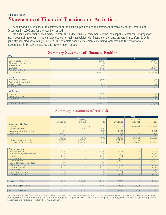#### **Statements of Financial Position and Activities** Financial Report

The following is summary of the statement of the financial position and the statement of activities of the Center as of December 31, 2006 and for the year then ended.

This financial information was extracted from the audited financial statements of the Indianapolis Center for Congregations, Inc. It does not, however, include all disclosures normally associated with financial statements prepared in conformity with generally accepted accounting principles. The complete financial statements, including footnotes and the report of our accountants, BKD, LLP, are available for review upon request.

#### **Summary Statement of Financial Position**

| <b>Assets</b>                     |              |              |
|-----------------------------------|--------------|--------------|
|                                   | 2006         | 2005         |
| Cash and cash equivalents         | \$593,914    | \$969,021    |
| Prepaid expenses and other assets | 15,152       | 30,903       |
| <b>Interest Receivable</b>        | 26,572       | 6,508        |
| Investments                       | 9,676,633    | 11,248,886   |
| Property and equipment            | 115,500      | 101,358      |
| Total assets                      | \$10,427,771 | \$12,356,676 |
|                                   |              |              |
| Liabilities                       |              |              |
| Accounts payable - trade          | \$38,119     | \$35,226     |
| Accounts payable – related party  |              | 71,456       |
| Accrued expenses                  | 41,787       | 22,026       |
| <b>Total liabilities</b>          | 79,906       | 128,708      |

#### Net Assets

| 11 Y & 11 Y Y Y & Y              |              |            |
|----------------------------------|--------------|------------|
| Unrestricted                     | 524,854      | 37,388     |
| <b>Temporarily Restricted</b>    | 9,823,011    | 12,190,580 |
| Total net assets                 | 10,347,865   | 2,227,968  |
|                                  |              |            |
| Total liabilities and net assets | \$10,427,771 |            |

#### **Summary Statement of Activities**

|                                       |                     | 2006              |                   |                   | 2005              |             |
|---------------------------------------|---------------------|-------------------|-------------------|-------------------|-------------------|-------------|
|                                       |                     | Temporarily       |                   |                   | Temporarily       |             |
|                                       | <b>Unrestricted</b> | Restricted        | <b>Total</b>      | Unrestricted      | Restricted        | Total       |
| <b>Revenues and Other Support</b>     |                     |                   |                   |                   |                   |             |
| Contributions                         | $\qquad \qquad -$   | $\qquad \qquad -$ | $\qquad \qquad -$ | $\qquad \qquad -$ | \$8,171,433       | \$8,171,433 |
| Return of Grant funds                 | $- -$               | 30,000            | 30,000            | $-$               | $-$               | $-$         |
| Workshops and invitational gatherings | 8,625               | $\qquad \qquad -$ | 8,625             | 30,601            | $\hspace{0.05cm}$ | 30,601      |
| Interest Income                       | 497,383             | $- -$             | 497.383           | 176,607           | $-$               | 176,607     |
| Other                                 | 189                 | $\qquad \qquad -$ | 189               | 889               | $\qquad \qquad -$ | 889         |
|                                       | 506.197             | 30,000            | 536,197           | 208,097           | 8,171,433         | 8,379,530   |
| Net assets released from restrictions | 2,397,569           | (2,397,569)       | $- -$             | 3,457,262         | (3,457,262)       | $-$         |
| Total Revenues and other support      | 2,903,766           | (2,367,569)       | 536,197           | 3,665,359         | 4,714,171         | 8,379,530   |

| <b>Expenses and Losses</b>             |           |                   |           |           |                   |           |
|----------------------------------------|-----------|-------------------|-----------|-----------|-------------------|-----------|
| <b>Resource Consulting</b>             | 344,662   | $- -$             | 344,662   | 375,898   | $-$               | 375,898   |
| Resource Discovery and Dissemination   | 141,904   | $\qquad \qquad -$ | 141,904   | 214.917   | $\qquad \qquad -$ | 214,917   |
| Education                              | 320,946   | $\qquad \qquad -$ | 320,946   | 547,589   | $\qquad \qquad -$ | 547,589   |
| <b>Resource Grants</b>                 | 700,369   | $\qquad \qquad -$ | 700,369   | 710.745   | $\qquad \qquad -$ | 710,745   |
| <b>Major Grant Initiative</b>          | 170,153   | $\qquad \qquad -$ | 170,153   | 1,205,751 | $\qquad \qquad -$ | 1,205,751 |
| Congregational Learning and Evaluation | 155,936   |                   | 155,936   | $- -$     |                   |           |
| Total program services                 | 1,833,970 | $- -$             | 1,833,970 | 3,054,900 | $\qquad \qquad -$ | 3,054,900 |
| Management and general                 | 581,417   | $\qquad \qquad -$ | 581,417   | 629,031   | $\qquad \qquad -$ | 629,031   |
| Total expenses                         | 2,415,387 | $- -$             | 2,415,387 | 3,683,931 | $\qquad \qquad -$ | 3,683,931 |
| Loss on disposal of equipment          | 913       | $\qquad \qquad -$ | 913       | 769       | $\qquad \qquad -$ | 769       |
| Total expenses and losses              | 2,416,300 | $- -$             | 2,146,300 | 3,684,700 | $\qquad \qquad -$ | 3,684,700 |

| Change in Net Assets          | 487.466   | (2,367,569) | (1,880,103)  | (19, 341) | 4.714.171    | 4,694,830 |
|-------------------------------|-----------|-------------|--------------|-----------|--------------|-----------|
|                               |           |             |              |           |              |           |
| Net Assets, Beginning of Year | 37.388    | 2.190.580   | 12.227.968   | 56,729    | .476.409     | ,533,138  |
|                               |           |             |              |           |              |           |
| Net Assets, End of Year       | \$524,854 | \$9,823,011 | \$10,437,865 | \$37,388  | \$12,190,580 |           |

Notes to Financial Report – The Center's net assets are derived from an operating grant for years 2006-2008, and a satellite operations grant for years 2005-2007 from the Lilly Endowment, Inc. These assets are recorded as temporarily restricted net assets as their use by the Center has been limited by the grantor for the period 2005-2008. Net assets are released from grantor restrictions by incurring expenses satisfying the restricted purpo by occurrence of other events specified by grantors during the years 2005-2008.